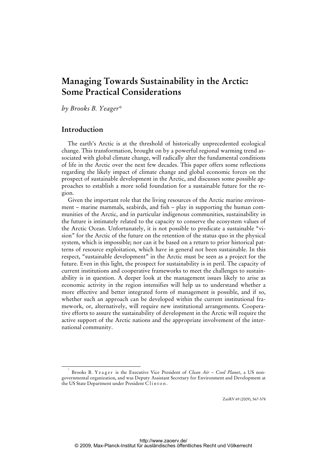# **Managing Towards Sustainability in the Arctic: Some Practical Considerations**

*by Brooks B. Yeager\** 

## **Introduction**

The earth's Arctic is at the threshold of historically unprecedented ecological change. This transformation, brought on by a powerful regional warming trend associated with global climate change, will radically alter the fundamental conditions of life in the Arctic over the next few decades. This paper offers some reflections regarding the likely impact of climate change and global economic forces on the prospect of sustainable development in the Arctic, and discusses some possible approaches to establish a more solid foundation for a sustainable future for the region.

Given the important role that the living resources of the Arctic marine environment – marine mammals, seabirds, and fish – play in supporting the human communities of the Arctic, and in particular indigenous communities, sustainability in the future is intimately related to the capacity to conserve the ecosystem values of the Arctic Ocean. Unfortunately, it is not possible to predicate a sustainable "vision" for the Arctic of the future on the retention of the status quo in the physical system, which is impossible; nor can it be based on a return to prior historical patterns of resource exploitation, which have in general not been sustainable. In this respect, "sustainable development" in the Arctic must be seen as a project for the future. Even in this light, the prospect for sustainability is in peril. The capacity of current institutions and cooperative frameworks to meet the challenges to sustainability is in question. A deeper look at the management issues likely to arise as economic activity in the region intensifies will help us to understand whether a more effective and better integrated form of management is possible, and if so, whether such an approach can be developed within the current institutional framework, or, alternatively, will require new institutional arrangements. Cooperative efforts to assure the sustainability of development in the Arctic will require the active support of the Arctic nations and the appropriate involvement of the international community.

ZaöRV 69 (2009), 567-578

 <sup>\*</sup> Brooks B. Yeager is the Executive Vice President of *Clean Air - Cool Planet*, a US nongovernmental organization, and was Deputy Assistant Secretary for Environment and Development at the US State Department under President Clinton.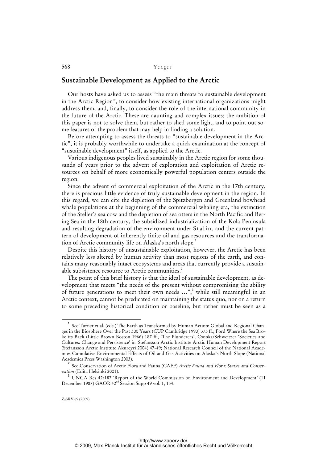### **Sustainable Development as Applied to the Arctic**

Our hosts have asked us to assess "the main threats to sustainable development in the Arctic Region", to consider how existing international organizations might address them, and, finally, to consider the role of the international community in the future of the Arctic. These are daunting and complex issues; the ambition of this paper is not to solve them, but rather to shed some light, and to point out some features of the problem that may help in finding a solution.

Before attempting to assess the threats to "sustainable development in the Arctic", it is probably worthwhile to undertake a quick examination at the concept of "sustainable development" itself, as applied to the Arctic.

Various indigenous peoples lived sustainably in the Arctic region for some thousands of years prior to the advent of exploration and exploitation of Arctic resources on behalf of more economically powerful population centers outside the region.

Since the advent of commercial exploitation of the Arctic in the 17th century, there is precious little evidence of truly sustainable development in the region. In this regard, we can cite the depletion of the Spitzbergen and Greenland bowhead whale populations at the beginning of the commercial whaling era, the extinction of the Steller's sea cow and the depletion of sea otters in the North Pacific and Bering Sea in the 18th century, the subsidized industrialization of the Kola Peninsula and resulting degradation of the environment under Stalin, and the current pattern of development of inherently finite oil and gas resources and the transformation of Arctic community life on Alaska's north slope.<sup>1</sup>

Despite this history of unsustainable exploitation, however, the Arctic has been relatively less altered by human activity than most regions of the earth, and contains many reasonably intact ecosystems and areas that currently provide a sustainable subsistence resource to Arctic communities.<sup>2</sup>

The point of this brief history is that the ideal of sustainable development, as development that meets "the needs of the present without compromising the ability of future generations to meet their own needs ...",<sup>3</sup> while still meaningful in an Arctic context, cannot be predicated on maintaining the status quo, nor on a return to some preceding historical condition or baseline, but rather must be seen as a

 $\overline{\phantom{0}}$  1 See Turner et al. (eds.) The Earth as Transformed by Human Action: Global and Regional Changes in the Biosphere Over the Past 300 Years (CUP Cambridge 1990) 375 ff.; Ford Where the Sea Broke its Back (Little Brown Boston 1966) 187 ff., 'The Plunderers'; Csonka/Schweitzer 'Societies and Cultures: Change and Persistence' in: Stefansson Arctic Institute Arctic Human Development Report (Stefansson Arctic Institute Akureyri 2004) 47-49; National Research Council of the National Academies Cumulative Environmental Effects of Oil and Gas Activities on Alaska's North Slope (National Academies Press Washington 2003).

<sup>2</sup> See Conservation of Arctic Flora and Fauna (CAFF) *Arctic Fauna and Flora: Status and Conservation* (Edita Helsinki 2001).

<sup>3</sup> UNGA Res 42/187 'Report of the World Commission on Environment and Development' (11 December 1987) GAOR  $42<sup>nd</sup>$  Session Supp 49 vol. 1, 154.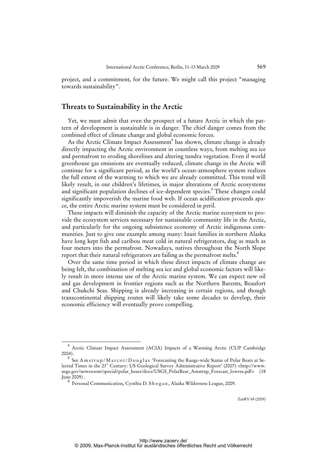project, and a commitment, for the future. We might call this project "managing towards sustainability".

### **Threats to Sustainability in the Arctic**

Yet, we must admit that even the prospect of a future Arctic in which the pattern of development is sustainable is in danger. The chief danger comes from the combined effect of climate change and global economic forces.

As the Arctic Climate Impact Assessment<sup>4</sup> has shown, climate change is already directly impacting the Arctic environment in countless ways, from melting sea ice and permafrost to eroding shorelines and altering tundra vegetation. Even if world greenhouse gas emissions are eventually reduced, climate change in the Arctic will continue for a significant period, as the world's ocean-atmosphere system realizes the full extent of the warming to which we are already committed. This trend will likely result, in our children's lifetimes, in major alterations of Arctic ecosystems and significant population declines of ice-dependent species.<sup>5</sup> These changes could significantly impoverish the marine food web. If ocean acidification proceeds apace, the entire Arctic marine system must be considered in peril.

These impacts will diminish the capacity of the Arctic marine ecosystem to provide the ecosystem services necessary for sustainable community life in the Arctic, and particularly for the ongoing subsistence economy of Arctic indigenous communities. Just to give one example among many: Inuit families in northern Alaska have long kept fish and caribou meat cold in natural refrigerators, dug as much as four meters into the permafrost. Nowadays, natives throughout the North Slope report that their natural refrigerators are failing as the permafrost melts.<sup>6</sup>

Over the same time period in which these direct impacts of climate change are being felt, the combination of melting sea ice and global economic factors will likely result in more intense use of the Arctic marine system. We can expect new oil and gas development in frontier regions such as the Northern Barents, Beaufort and Chukchi Seas. Shipping is already increasing in certain regions, and though transcontinental shipping routes will likely take some decades to develop, their economic efficiency will eventually prove compelling.

 $\overline{4}$  Arctic Climate Impact Assessment (ACIA) Impacts of a Warming Arctic (CUP Cambridge  $2004$ 

 $^5\,$  See Amstrup/Marcot/Douglas 'Forecasting the Range-wide Status of Polar Bears at Se-lected Times in the 21<sup>st</sup> Century: US Geological Survey Administrative Report' (2007) [<http://www.](http://www) usgs.gov/newsroom/special/polar\_bears/docs/USGS\_PolarBear\_Amstrup\_Forecast\_lowres.pdf> (18 June 2009) .

<sup>6</sup> Personal Communication, Cynthia D. S h o g a n , Alaska Wilderness League, 2009.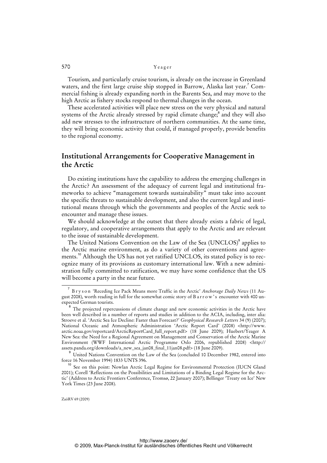Tourism, and particularly cruise tourism, is already on the increase in Greenland waters, and the first large cruise ship stopped in Barrow, Alaska last year.<sup>7</sup> Commercial fishing is already expanding north in the Barents Sea, and may move to the high Arctic as fishery stocks respond to thermal changes in the ocean.

These accelerated activities will place new stress on the very physical and natural systems of the Arctic already stressed by rapid climate change;<sup>8</sup> and they will also add new stresses to the infrastructure of northern communities. At the same time, they will bring economic activity that could, if managed properly, provide benefits to the regional economy.

### **Institutional Arrangements for Cooperative Management in the Arctic**

Do existing institutions have the capability to address the emerging challenges in the Arctic? An assessment of the adequacy of current legal and institutional frameworks to achieve "management towards sustainability" must take into account the specific threats to sustainable development, and also the current legal and institutional means through which the governments and peoples of the Arctic seek to encounter and manage these issues.

We should acknowledge at the outset that there already exists a fabric of legal, regulatory, and cooperative arrangements that apply to the Arctic and are relevant to the issue of sustainable development.

The United Nations Convention on the Law of the Sea (UNCLOS)<sup>9</sup> applies to the Arctic marine environment, as do a variety of other conventions and agreements.<sup>10</sup> Although the US has not yet ratified UNCLOS, its stated policy is to recognize many of its provisions as customary international law. With a new administration fully committed to ratification, we may have some confidence that the US will become a party in the near future.

<sup>7</sup> B r y s o n 'Receding Ice Pack Means more Traffic in the Arctic' *Anchorage Daily News* (11 August 2008), worth reading in full for the somewhat comic story of B a r r o w's encounter with 400 unexpected German tourists.

<sup>&</sup>lt;sup>8</sup> The projected repercussions of climate change and new economic activities in the Arctic have been well described in a number of reports and studies in addition to the ACIA, including, inter alia: Stroeve et al. 'Arctic Sea Ice Decline: Faster than Forecast?' *Geophysical Research Letters* 34 (9) (2007); National Oceanic and Atmospheric Administration 'Arctic Report Card' (2008) <[http://www.](http://www) arctic.noaa.gov/reportcard/ArcticReportCard\_full\_report.pdf> (18 June 2009); Huebert/Yeager A New Sea: the Need for a Regional Agreement on Management and Conservation of the Arctic Marine [Environment \(WWF International Arctic Programme Oslo 2006, republished 2008\) <http://](http://assets.panda.org/downloads/a_new_sea_jan08_final_11jan08.pdf) assets.panda.org/downloads/a\_new\_sea\_jan08\_final\_11jan08.pdf> (18 June 2009).

<sup>&</sup>lt;sup>9</sup> United Nations Convention on the Law of the Sea (concluded 10 December 1982, entered into force 16 November 1994) 1833 UNTS 396.

<sup>&</sup>lt;sup>10</sup> See on this point: Nowlan Arctic Legal Regime for Environmental Protection (IUCN Gland 2001); Corell 'Reflections on the Possibilities and Limitations of a Binding Legal Regime for the Arctic' (Address to Arctic Frontiers Conference, Tromsø, 22 January 2007); Bellinger 'Treaty on Ice' New York Times (23 June 2008).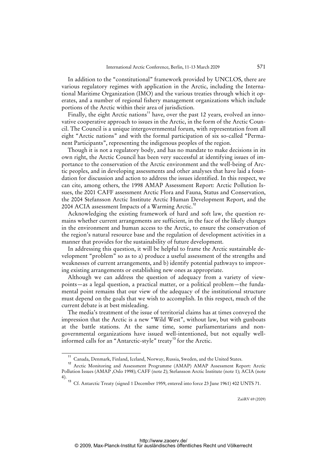In addition to the "constitutional" framework provided by UNCLOS, there are various regulatory regimes with application in the Arctic, including the International Maritime Organization (IMO) and the various treaties through which it operates, and a number of regional fishery management organizations which include portions of the Arctic within their area of jurisdiction.

Finally, the eight Arctic nations<sup>11</sup> have, over the past 12 years, evolved an innovative cooperative approach to issues in the Arctic, in the form of the Arctic Council. The Council is a unique intergovernmental forum, with representation from all eight "Arctic nations" and with the formal participation of six so-called "Permanent Participants", representing the indigenous peoples of the region.

Though it is not a regulatory body, and has no mandate to make decisions in its own right, the Arctic Council has been very successful at identifying issues of importance to the conservation of the Arctic environment and the well-being of Arctic peoples, and in developing assessments and other analyses that have laid a foundation for discussion and action to address the issues identified. In this respect, we can cite, among others, the 1998 AMAP Assessment Report: Arctic Pollution Issues, the 2001 CAFF assessment Arctic Flora and Fauna, Status and Conservation, the 2004 Stefansson Arctic Institute Arctic Human Development Report, and the 2004 ACIA assessment Impacts of a Warming Arctic.<sup>12</sup>

Acknowledging the existing framework of hard and soft law, the question remains whether current arrangements are sufficient, in the face of the likely changes in the environment and human access to the Arctic, to ensure the conservation of the region's natural resource base and the regulation of development activities in a manner that provides for the sustainability of future development.

In addressing this question, it will be helpful to frame the Arctic sustainable development "problem" so as to a) produce a useful assessment of the strengths and weaknesses of current arrangements, and b) identify potential pathways to improving existing arrangements or establishing new ones as appropriate.

Although we can address the question of adequacy from a variety of viewpoints—as a legal question, a practical matter, or a political problem—the fundamental point remains that our view of the adequacy of the institutional structure must depend on the goals that we wish to accomplish. In this respect, much of the current debate is at best misleading.

The media's treatment of the issue of territorial claims has at times conveyed the impression that the Arctic is a new "Wild West", without law, but with gunboats at the battle stations. At the same time, some parliamentarians and nongovernmental organizations have issued well-intentioned, but not equally wellinformed calls for an "Antarctic-style" treaty<sup>13</sup> for the Arctic.

Canada, Denmark, Finland, Iceland, Norway, Russia, Sweden, and the United States.

<sup>&</sup>lt;sup>12</sup> Arctic Monitoring and Assessment Programme (AMAP) AMAP Assessment Report: Arctic Pollution Issues (AMAP ,Oslo 1998); CAFF (note 2); Stefansson Arctic Institute (note 1); ACIA (note 4).

<sup>&</sup>lt;sup>13</sup> Cf. Antarctic Treaty (signed 1 December 1959, entered into force 23 June 1961) 402 UNTS 71.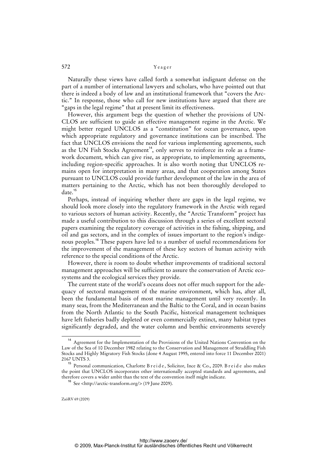Naturally these views have called forth a somewhat indignant defense on the part of a number of international lawyers and scholars, who have pointed out that there is indeed a body of law and an institutional framework that "covers the Arctic." In response, those who call for new institutions have argued that there are "gaps in the legal regime" that at present limit its effectiveness.

However, this argument begs the question of whether the provisions of UN-CLOS are sufficient to guide an effective management regime in the Arctic. We might better regard UNCLOS as a "constitution" for ocean governance, upon which appropriate regulatory and governance institutions can be inscribed. The fact that UNCLOS envisions the need for various implementing agreements, such as the UN Fish Stocks Agreement<sup>14</sup>, only serves to reinforce its role as a framework document, which can give rise, as appropriate, to implementing agreements, including region-specific approaches. It is also worth noting that UNCLOS remains open for interpretation in many areas, and that cooperation among States pursuant to UNCLOS could provide further development of the law in the area of matters pertaining to the Arctic, which has not been thoroughly developed to date.<sup>15</sup>

Perhaps, instead of inquiring whether there are gaps in the legal regime, we should look more closely into the regulatory framework in the Arctic with regard to various sectors of human activity. Recently, the "Arctic Transform" project has made a useful contribution to this discussion through a series of excellent sectoral papers examining the regulatory coverage of activities in the fishing, shipping, and oil and gas sectors, and in the complex of issues important to the region's indigenous peoples.<sup>16</sup> These papers have led to a number of useful recommendations for the improvement of the management of these key sectors of human activity with reference to the special conditions of the Arctic.

However, there is room to doubt whether improvements of traditional sectoral management approaches will be sufficient to assure the conservation of Arctic ecosystems and the ecological services they provide.

The current state of the world's oceans does not offer much support for the adequacy of sectoral management of the marine environment, which has, after all, been the fundamental basis of most marine management until very recently. In many seas, from the Mediterranean and the Baltic to the Coral, and in ocean basins from the North Atlantic to the South Pacific, historical management techniques have left fisheries badly depleted or even commercially extinct, many habitat types significantly degraded, and the water column and benthic environments severely

<sup>&</sup>lt;sup>14</sup> Agreement for the Implementation of the Provisions of the United Nations Convention on the Law of the Sea of 10 December 1982 relating to the Conservation and Management of Straddling Fish Stocks and Highly Migratory Fish Stocks (done 4 August 1995, entered into force 11 December 2001) 2167 UNTS 3.

<sup>&</sup>lt;sup>15</sup> Personal communication, Charlotte B r e i d e, Solicitor, Ince & Co., 2009. B r e i d e also makes the point that UNCLOS incorporates other internationally accepted standards and agreements, and therefore covers a wider ambit than the text of the convention itself might indicate.

<sup>16</sup> See <[http://arctic-transform.org/>](http://arctic-transform.org/) (19 June 2009).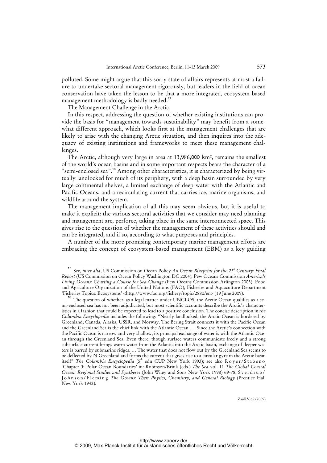polluted. Some might argue that this sorry state of affairs represents at most a failure to undertake sectoral management rigorously, but leaders in the field of ocean conservation have taken the lesson to be that a more integrated, ecosystem-based management methodology is badly needed.<sup>17</sup>

The Management Challenge in the Arctic

In this respect, addressing the question of whether existing institutions can provide the basis for "management towards sustainability" may benefit from a somewhat different approach, which looks first at the management challenges that are likely to arise with the changing Arctic situation, and then inquires into the adequacy of existing institutions and frameworks to meet these management challenges.

The Arctic, although very large in area at 13,986,000 km², remains the smallest of the world's ocean basins and in some important respects bears the character of a "semi-enclosed sea".<sup>18</sup> Among other characteristics, it is characterized by being virtually landlocked for much of its periphery, with a deep basin surrounded by very large continental shelves, a limited exchange of deep water with the Atlantic and Pacific Oceans, and a recirculating current that carries ice, marine organisms, and wildlife around the system.

The management implication of all this may seem obvious, but it is useful to make it explicit: the various sectoral activities that we consider may need planning and management are, perforce, taking place in the same interconnected space. This gives rise to the question of whether the management of these activities should and can be integrated, and if so, according to what purposes and principles.

A number of the more promising contemporary marine management efforts are embracing the concept of ecosystem-based management (EBM) as a key guiding

<sup>&</sup>lt;sup>17</sup> See, *inter alia*, US Commission on Ocean Policy *An Ocean Blueprint for the 21<sup>st</sup> Century: Final Report* (US Commission on Ocean Policy Washington DC 2004); Pew Oceans Commission *America's Living Oceans: Charting a Course for Sea Change* (Pew Oceans Commission Arlington 2003); Food and Agriculture Organization of the United Nations (FAO), Fisheries and Aquaculture Department 'Fisheries Topics: Ecosystems' [<http://www.fao.org/fishery/topic/2880/en>](http://www.fao.org/fishery/topic/2880/en) (19 June 2009).

<sup>&</sup>lt;sup>18</sup> The question of whether, as a legal matter under UNCLOS, the Arctic Ocean qualifies as a semi-enclosed sea has not been adjudicated, but most scientific accounts describe the Arctic's characteristics in a fashion that could be expected to lead to a positive conclusion. The concise description in *the Columbia Encyclopedia* includes the following: "Nearly landlocked, the Arctic Ocean is bordered by Greenland, Canada, Alaska, USSR, and Norway. The Bering Strait connects it with the Pacific Ocean and the Greenland Sea is the chief link with the Atlantic Ocean. … Since the Arctic's connection with the Pacific Ocean is narrow and very shallow, its principal exchange of water is with the Atlantic Ocean through the Greenland Sea. Even there, though surface waters communicate freely and a strong subsurface current brings warm water from the Atlantic into the Arctic basin, exchange of deeper waters is barred by submarine ridges. … The water that does not flow out by the Greenland Sea seems to be deflected by N Greenland and forms the current that gives rise to a circular gyre in the Arctic basin itself" *The Columbia Encyclopedia* (5<sup>th</sup> edn CUP New York 1993); see also Royer/Stabeno 'Chapter 3: Polar Ocean Boundaries' in: Robinson/Brink (eds.) *The Sea* vol. 11 *The Global Coastal Ocean: Regional Studies and Syntheses* (John Wiley and Sons New York 1998) 69-78; S v e r d r u p / Johnson/Fleming *The Oceans: Their Physics, Chemistry, and General Biology* (Prentice Hall New York 1942).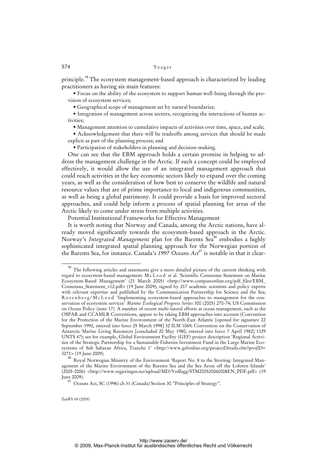principle.<sup>19</sup> The ecosystem management-based approach is characterized by leading practitioners as having six main features:

• Focus on the ability of the ecosystem to support human well-being through the provision of ecosystem services;

• Geographical scope of management set by natural boundaries;

• Integration of management across sectors, recognizing the interactions of human activities;

• Management attention to cumulative impacts of activities over time, space, and scale;

• Acknowledgement that there will be tradeoffs among services that should be made explicit as part of the planning process; and

• Participation of stakeholders in planning and decision-making.

One can see that the EBM approach holds a certain promise in helping to address the management challenge in the Arctic. If such a concept could be employed effectively, it would allow the use of an integrated management approach that could reach activities in the key economic sectors likely to expand over the coming years, as well as the consideration of how best to conserve the wildlife and natural resource values that are of prime importance to local and indigenous communities, as well as being a global patrimony. It could provide a basis for improved sectoral approaches, and could help inform a process of spatial planning for areas of the Arctic likely to come under stress from multiple activities.

Potential Institutional Frameworks for Effective Management

It is worth noting that Norway and Canada, among the Arctic nations, have already moved significantly towards the ecosystem-based approach in the Arctic. Norway's *Integrated Management* plan for the Barents Sea<sup>20</sup> embodies a highly sophisticated integrated spatial planning approach for the Norwegian portion of the Barents Sea, for instance. Canada's 1997 Oceans Act<sup>21</sup> is notable in that it clear-

<sup>&</sup>lt;sup>19</sup> The following articles and statements give a more detailed picture of the current thinking with regard to ecosystem-based management: M c L e o d et al. 'Scientific Consensus Statement on Marine Ecosystem-Based Management' (21 March 2005) [<http://www.compassonline.org/pdf\\_files/EBM\\_](http://www.compassonline.org/pdf_files/EBM_) Consensus\_Statement\_v12.pdf> (19 June 2009), signed by 217 academic scientists and policy experts with relevant expertise and published by the Communication Partnership for Science and the Sea; R os en b e r g / M c L e o d 'Implementing ecosystem-based approaches to management for the conservation of ecosystem services' *Marine Ecological Progress Series* 300 (2005) 270-74; US Commission on Ocean Policy (note 17). A number of recent multi-lateral efforts at ocean management, such as the OSPAR and CCAMLR Conventions, appear to be taking EBM approaches into account (Convention for the Protection of the Marine Environment of the North-East Atlantic [opened for signature 22 September 1992, entered into force 25 March 1998] 32 ILM 1069; Convention on the Conservation of Antarctic Marine Living Resources [concluded 20 May 1980, entered into force 7 April 1982] 1329 UNTS 47); see for example, Global Environment Facility (GEF) project description 'Regional Activities of the Strategic Partnership for a Sustainable Fisheries Investment Fund in the Large Marine Eco-systems of Sub Saharan Africa, Tranche 1' [<http://www.gefonline.org/projectDetails.cfm?projID=](http://www.gefonline.org/projectDetails.cfm?projID=) 3271> (19 June 2009).

<sup>&</sup>lt;sup>20</sup> Roval Norwegian Ministry of the Environment 'Report No. 8 to the Storting: Integrated Management of the Marine Environment of the Barents Sea and the Sea Areas off the Lofoten Islands' (2005-2006) [<http://www.regjeringen.no/upload/MD/Vedlegg/STM200520060008EN\\_PDF.pdf>](http://www.regjeringen.no/upload/MD/Vedlegg/STM200520060008EN_PDF.pdf) (19 June 2009).

<sup>&</sup>lt;sup>21</sup> Oceans Act, SC (1996) ch 31 (Canada) Section 30 "Principles of Strategy".

ZaöRV 69 (2009)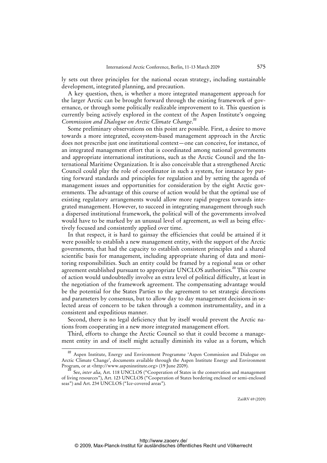ly sets out three principles for the national ocean strategy, including sustainable development, integrated planning, and precaution.

A key question, then, is whether a more integrated management approach for the larger Arctic can be brought forward through the existing framework of governance, or through some politically realizable improvement to it. This question is currently being actively explored in the context of the Aspen Institute's ongoing *Commission and Dialogue on Arctic Climate Change*. 22

Some preliminary observations on this point are possible. First, a desire to move towards a more integrated, ecosystem-based management approach in the Arctic does not prescribe just one institutional context—one can conceive, for instance, of an integrated management effort that is coordinated among national governments and appropriate international institutions, such as the Arctic Council and the International Maritime Organization. It is also conceivable that a strengthened Arctic Council could play the role of coordinator in such a system, for instance by putting forward standards and principles for regulation and by setting the agenda of management issues and opportunities for consideration by the eight Arctic governments. The advantage of this course of action would be that the optimal use of existing regulatory arrangements would allow more rapid progress towards integrated management. However, to succeed in integrating management through such a dispersed institutional framework, the political will of the governments involved would have to be marked by an unusual level of agreement, as well as being effectively focused and consistently applied over time.

In that respect, it is hard to gainsay the efficiencies that could be attained if it were possible to establish a new management entity, with the support of the Arctic governments, that had the capacity to establish consistent principles and a shared scientific basis for management, including appropriate sharing of data and monitoring responsibilities. Such an entity could be framed by a regional seas or other agreement established pursuant to appropriate UNCLOS authorities.<sup>23</sup> This course of action would undoubtedly involve an extra level of political difficulty, at least in the negotiation of the framework agreement. The compensating advantage would be the potential for the States Parties to the agreement to set strategic directions and parameters by consensus, but to allow day to day management decisions in selected areas of concern to be taken through a common instrumentality, and in a consistent and expeditious manner.

Second, there is no legal deficiency that by itself would prevent the Arctic nations from cooperating in a new more integrated management effort.

Third, efforts to change the Arctic Council so that it could become a management entity in and of itself might actually diminish its value as a forum, which

<sup>&</sup>lt;sup>22</sup> Aspen Institute, Energy and Environment Programme 'Aspen Commission and Dialogue on Arctic Climate Change', documents available through the Aspen Institute Energy and Environment Program, or at <[http://www.aspeninstitute.org>](http://www.aspeninstitute.org) (19 June 2009).

<sup>&</sup>lt;sup>3</sup> See, *inter alia*, Art. 118 UNCLOS ("Cooperation of States in the conservation and management of living resources"), Art. 123 UNCLOS ("Cooperation of States bordering enclosed or semi-enclosed seas") and Art. 234 UNCLOS ("Ice-covered areas")*.*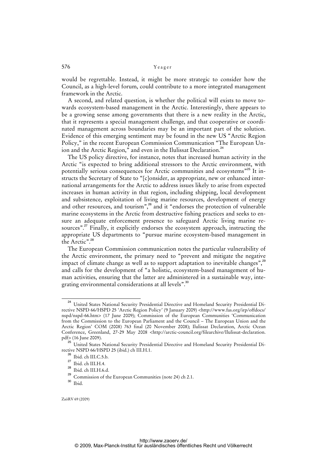would be regrettable. Instead, it might be more strategic to consider how the Council, as a high-level forum, could contribute to a more integrated management framework in the Arctic.

A second, and related question, is whether the political will exists to move towards ecosystem-based management in the Arctic. Interestingly, there appears to be a growing sense among governments that there is a new reality in the Arctic, that it represents a special management challenge, and that cooperative or coordinated management across boundaries may be an important part of the solution. Evidence of this emerging sentiment may be found in the new US "Arctic Region Policy," in the recent European Commission Communication "The European Union and the Arctic Region," and even in the Ilulissat Declaration.<sup>24</sup>

The US policy directive, for instance, notes that increased human activity in the Arctic "is expected to bring additional stressors to the Arctic environment, with potentially serious consequences for Arctic communities and ecosystems<sup>"25</sup> It instructs the Secretary of State to "[c]onsider, as appropriate, new or enhanced international arrangements for the Arctic to address issues likely to arise from expected increases in human activity in that region, including shipping, local development and subsistence, exploitation of living marine resources, development of energy and other resources, and tourism",<sup>26</sup> and it "endorses the protection of vulnerable marine ecosystems in the Arctic from destructive fishing practices and seeks to ensure an adequate enforcement presence to safeguard Arctic living marine resources".<sup>27</sup> Finally, it explicitly endorses the ecosystem approach, instructing the appropriate US departments to "pursue marine ecosystem-based management in the Arctic".<sup>28</sup>

The European Commission communication notes the particular vulnerability of the Arctic environment, the primary need to "prevent and mitigate the negative impact of climate change as well as to support adaptation to inevitable changes",<sup>29</sup> and calls for the development of "a holistic, ecosystem-based management of human activities, ensuring that the latter are administered in a sustainable way, integrating environmental considerations at all levels".<sup>30</sup>

<sup>24</sup> United States National Security Presidential Directive and Homeland Security Presidential Directive NSPD 66/HSPD 25 'Arctic Region Policy' (9 January 2009) <<http://www.fas.org/irp/offdocs/> nspd/nspd-66.htm> (17 June 2009); Commission of the European Communities 'Communication from the Commission to the European Parliament and the Council – The European Union and the Arctic Region' COM (2008) 763 final (20 November 2008); Ilulissat Declaration, Arctic Ocean Conference, Greenland, 27-29 May 2008 <[http://arctic-council.org/filearchive/Ilulissat-declaration.](http://arctic-council.org/filearchive/Ilulissat-declaration) pdf> (16 June 2009).

<sup>25</sup> United States National Security Presidential Directive and Homeland Security Presidential Directive NSPD 66/HSPD 25 (ibid.) ch III.H.1.

 $^{26}$  Ibid. ch III.C.5.b.

 $^{27}$  Ibid. ch III.H.4.

<sup>28</sup> Ibid. ch III.H.6.d.

<sup>29</sup> Commission of the European Communities (note 24) ch 2.1.

<sup>30</sup> Ibid.

ZaöRV 69 (2009)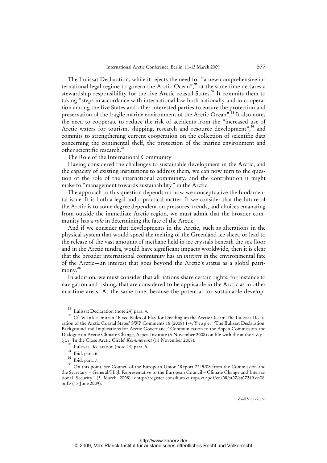The Ilulissat Declaration, while it rejects the need for "a new comprehensive international legal regime to govern the Arctic Ocean",<sup>31</sup> at the same time declares a stewardship responsibility for the five Arctic coastal States.<sup>32</sup> It commits them to taking "steps in accordance with international law both nationally and in cooperation among the five States and other interested parties to ensure the protection and preservation of the fragile marine environment of the Arctic Ocean".<sup>33</sup> It also notes the need to cooperate to reduce the risk of accidents from the "increased use of Arctic waters for tourism, shipping, research and resource development",<sup>34</sup> and commits to strengthening current cooperation on the collection of scientific data concerning the continental shelf, the protection of the marine environment and other scientific research.<sup>35</sup>

The Role of the International Community

Having considered the challenges to sustainable development in the Arctic, and the capacity of existing institutions to address them, we can now turn to the question of the role of the international community, and the contribution it might make to "management towards sustainability" in the Arctic.

The approach to this question depends on how we conceptualize the fundamental issue. It is both a legal and a practical matter. If we consider that the future of the Arctic is to some degree dependent on pressures, trends, and choices emanating from outside the immediate Arctic region, we must admit that the broader community has a *role* in determining the fate of the Arctic.

And if we consider that developments in the Arctic, such as alterations in the physical system that would speed the melting of the Greenland ice sheet, or lead to the release of the vast amounts of methane held in ice crystals beneath the sea floor and in the Arctic tundra, would have significant impacts worldwide, then it is clear that the broader international community has an *interest* in the environmental fate of the Arctic—an interest that goes beyond the Arctic's status as a global patrimony.<sup>36</sup>

In addition, we must consider that all nations share certain rights, for instance to navigation and fishing, that are considered to be applicable in the Arctic as in other maritime areas. At the same time, because the potential for sustainable develop-

 $\frac{31}{12}$  Ilulissat Declaration (note 24) para. 4.

<sup>32</sup> Cf. W i n k e l m a n n 'Fixed Rules of Play for Dividing up the Arctic Ocean: The Ilulissat Declaration of the Arctic Coastal States' SWP Comments 18 (2008) 1-4; Y e a g e r 'The Ilulissat Declaration: Background and Implications for Arctic Governance' Communication to the Aspen Commission and Dialogue on Arctic Climate Change, Aspen Institute (5 November 2008) on file with the author; Z y g a r 'In the Close Arctic Circle' *Kommersant* (11 November 2008).

 $^3$  Ilulissat Declaration (note 24) para. 5.

 $rac{34}{35}$  Ibid. para. 6.

 $\frac{35}{36}$  Ibid. para. 7.

<sup>36</sup> On this point, see Council of the European Union 'Report 7249/08 from the Commission and the Secretary – General/High Representative to the European Council—Climate Change and Interna-tional Security' (3 March 2008) [<http://register.consilium.europa.eu/pdf/en/08/st07/st07249.en08.](http://register.consilium.europa.eu/pdf/en/08/st07/st07249.en08) pdf> (17 June 2009).